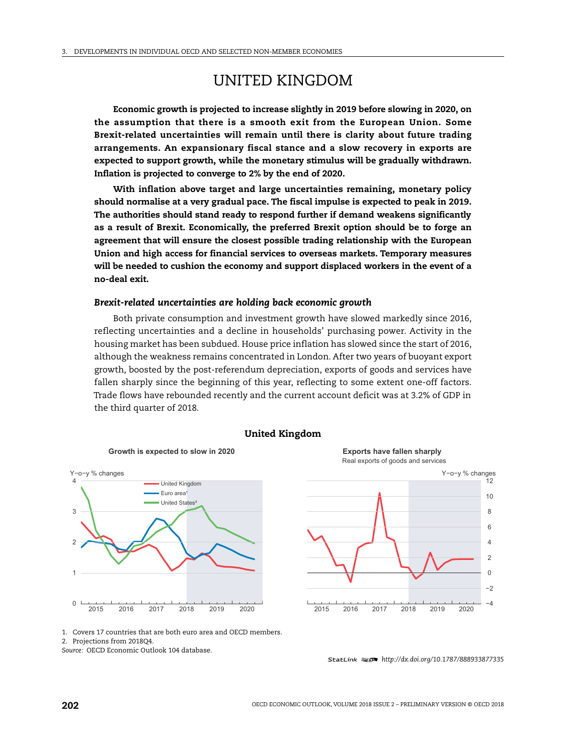# UNITED KINGDOM

**Economic growth is projected to increase slightly in 2019 before slowing in 2020, on the assumption that there is a smooth exit from the European Union. Some Brexit-related uncertainties will remain until there is clarity about future trading arrangements. An expansionary fiscal stance and a slow recovery in exports are expected to support growth, while the monetary stimulus will be gradually withdrawn. Inflation is projected to converge to 2% by the end of 2020.**

**With inflation above target and large uncertainties remaining, monetary policy should normalise at a very gradual pace. The fiscal impulse is expected to peak in 2019. The authorities should stand ready to respond further if demand weakens significantly as a result of Brexit. Economically, the preferred Brexit option should be to forge an agreement that will ensure the closest possible trading relationship with the European Union and high access for financial services to overseas markets. Temporary measures will be needed to cushion the economy and support displaced workers in the event of a no-deal exit.**

## *Brexit-related uncertainties are holding back economic growth*

Both private consumption and investment growth have slowed markedly since 2016, reflecting uncertainties and a decline in households' purchasing power. Activity in the housing market has been subdued. House price inflation has slowed since the start of 2016, although the weakness remains concentrated in London. After two years of buoyant export growth, boosted by the post-referendum depreciation, exports of goods and services have fallen sharply since the beginning of this year, reflecting to some extent one-off factors. Trade flows have rebounded recently and the current account deficit was at 3.2% of GDP in the third quarter of 2018.



**Exports have fallen sharply** 

Real exports of goods and services



1. Covers 17 countries that are both euro area and OECD members.

2. Projections from 2018Q4.

*Source:* OECD Economic Outlook 104 database.

<sup>1 2</sup> *http://dx.doi.org/10.1787/888933877335*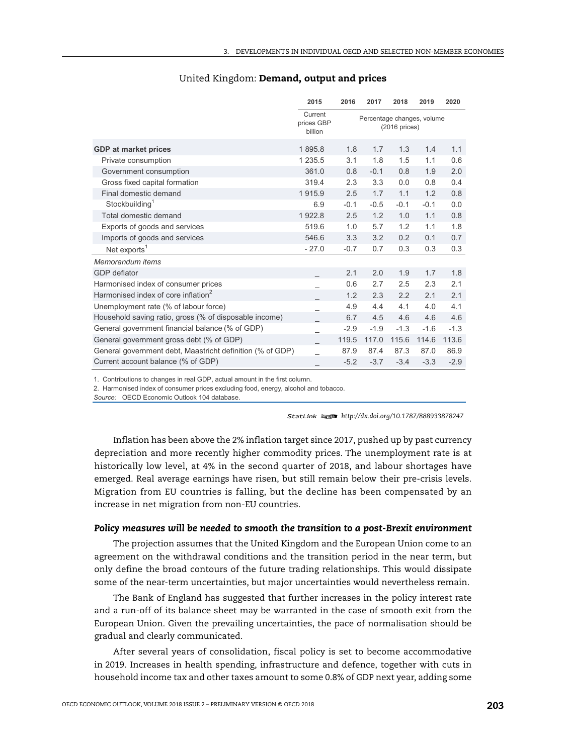|                                                           | 2015                             | 2016                                           | 2017   | 2018   | 2019   | 2020   |
|-----------------------------------------------------------|----------------------------------|------------------------------------------------|--------|--------|--------|--------|
|                                                           | Current<br>prices GBP<br>billion | Percentage changes, volume<br>$(2016)$ prices) |        |        |        |        |
| <b>GDP</b> at market prices                               | 1895.8                           | 1.8                                            | 1.7    | 1.3    | 1.4    | 1.1    |
| Private consumption                                       | 1 2 3 5 . 5                      | 3.1                                            | 1.8    | 1.5    | 1.1    | 0.6    |
| Government consumption                                    | 361.0                            | 0.8                                            | $-0.1$ | 0.8    | 1.9    | 2.0    |
| Gross fixed capital formation                             | 319.4                            | 2.3                                            | 3.3    | 0.0    | 0.8    | 0.4    |
| Final domestic demand                                     | 1915.9                           | 2.5                                            | 1.7    | 1.1    | 1.2    | 0.8    |
| Stockbuilding <sup>1</sup>                                | 6.9                              | $-0.1$                                         | $-0.5$ | $-0.1$ | $-0.1$ | 0.0    |
| Total domestic demand                                     | 1922.8                           | 2.5                                            | 1.2    | 1.0    | 1.1    | 0.8    |
| Exports of goods and services                             | 519.6                            | 1.0                                            | 5.7    | 1.2    | 1.1    | 1.8    |
| Imports of goods and services                             | 546.6                            | 3.3                                            | 3.2    | 0.2    | 0.1    | 0.7    |
| Net exports <sup>1</sup>                                  | $-27.0$                          | $-0.7$                                         | 0.7    | 0.3    | 0.3    | 0.3    |
| Memorandum items                                          |                                  |                                                |        |        |        |        |
| GDP deflator                                              |                                  | 2.1                                            | 2.0    | 1.9    | 1.7    | 1.8    |
| Harmonised index of consumer prices                       |                                  | 0.6                                            | 2.7    | 2.5    | 2.3    | 2.1    |
| Harmonised index of core inflation <sup>2</sup>           |                                  | 1.2                                            | 2.3    | 2.2    | 2.1    | 2.1    |
| Unemployment rate (% of labour force)                     |                                  | 4.9                                            | 4.4    | 4.1    | 4.0    | 4.1    |
| Household saving ratio, gross (% of disposable income)    |                                  | 6.7                                            | 4.5    | 4.6    | 4.6    | 4.6    |
| General government financial balance (% of GDP)           |                                  | $-2.9$                                         | $-1.9$ | $-1.3$ | $-1.6$ | $-1.3$ |
| General government gross debt (% of GDP)                  |                                  | 119.5                                          | 117.0  | 115.6  | 114.6  | 113.6  |
| General government debt, Maastricht definition (% of GDP) |                                  | 87.9                                           | 87.4   | 87.3   | 87.0   | 86.9   |
| Current account balance (% of GDP)                        |                                  | $-5.2$                                         | $-3.7$ | $-3.4$ | $-3.3$ | $-2.9$ |
|                                                           |                                  |                                                |        |        |        |        |

## United Kingdom: **Demand, output and prices**

1. Contributions to changes in real GDP, actual amount in the first column.

2. Harmonised index of consumer prices excluding food, energy, alcohol and tobacco.

Source: OECD Economic Outlook 104 database.

1 2 *http://dx.doi.org/10.1787/888933878247*

Inflation has been above the 2% inflation target since 2017, pushed up by past currency depreciation and more recently higher commodity prices. The unemployment rate is at historically low level, at 4% in the second quarter of 2018, and labour shortages have emerged. Real average earnings have risen, but still remain below their pre-crisis levels. Migration from EU countries is falling, but the decline has been compensated by an increase in net migration from non-EU countries.

### *Policy measures will be needed to smooth the transition to a post-Brexit environment*

The projection assumes that the United Kingdom and the European Union come to an agreement on the withdrawal conditions and the transition period in the near term, but only define the broad contours of the future trading relationships. This would dissipate some of the near-term uncertainties, but major uncertainties would nevertheless remain.

The Bank of England has suggested that further increases in the policy interest rate and a run-off of its balance sheet may be warranted in the case of smooth exit from the European Union. Given the prevailing uncertainties, the pace of normalisation should be gradual and clearly communicated.

After several years of consolidation, fiscal policy is set to become accommodative in 2019. Increases in health spending, infrastructure and defence, together with cuts in household income tax and other taxes amount to some 0.8% of GDP next year, adding some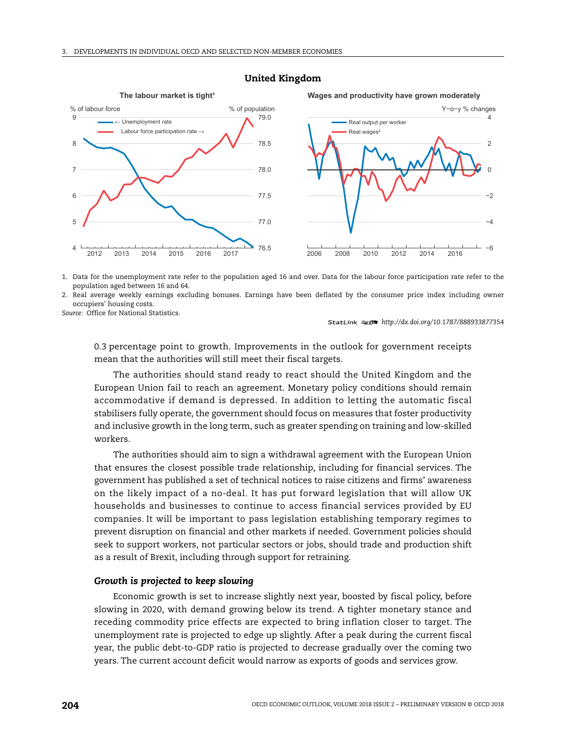

#### **United Kingdom**

1. Data for the unemployment rate refer to the population aged 16 and over. Data for the labour force participation rate refer to the population aged between 16 and 64.

2. Real average weekly earnings excluding bonuses. Earnings have been deflated by the consumer price index including owner occupiers' housing costs.

*Source:* Office for National Statistics.

1 2 *http://dx.doi.org/10.1787/888933877354*

0.3 percentage point to growth. Improvements in the outlook for government receipts mean that the authorities will still meet their fiscal targets.

The authorities should stand ready to react should the United Kingdom and the European Union fail to reach an agreement. Monetary policy conditions should remain accommodative if demand is depressed. In addition to letting the automatic fiscal stabilisers fully operate, the government should focus on measures that foster productivity and inclusive growth in the long term, such as greater spending on training and low-skilled workers.

The authorities should aim to sign a withdrawal agreement with the European Union that ensures the closest possible trade relationship, including for financial services. The government has published a set of technical notices to raise citizens and firms' awareness on the likely impact of a no-deal. It has put forward legislation that will allow UK households and businesses to continue to access financial services provided by EU companies. It will be important to pass legislation establishing temporary regimes to prevent disruption on financial and other markets if needed. Government policies should seek to support workers, not particular sectors or jobs, should trade and production shift as a result of Brexit, including through support for retraining.

## *Growth is projected to keep slowing*

Economic growth is set to increase slightly next year, boosted by fiscal policy, before slowing in 2020, with demand growing below its trend. A tighter monetary stance and receding commodity price effects are expected to bring inflation closer to target. The unemployment rate is projected to edge up slightly. After a peak during the current fiscal year, the public debt-to-GDP ratio is projected to decrease gradually over the coming two years. The current account deficit would narrow as exports of goods and services grow.